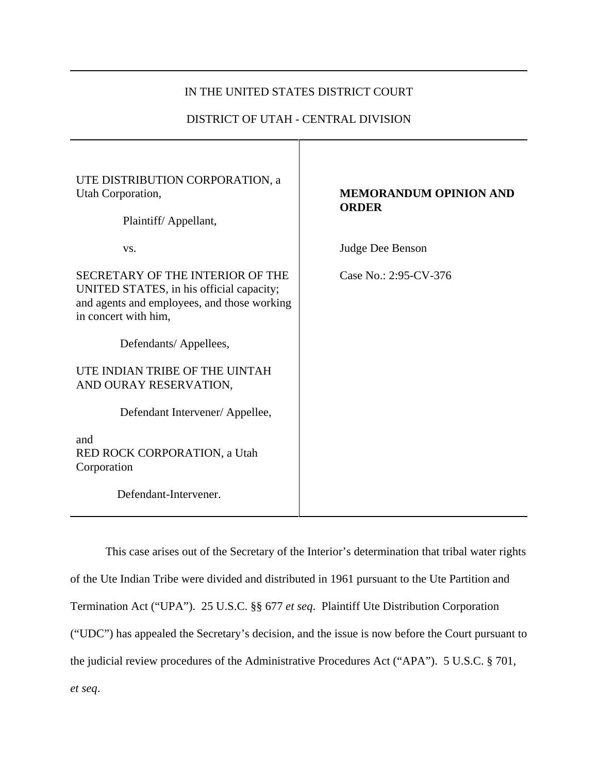## IN THE UNITED STATES DISTRICT COURT

### DISTRICT OF UTAH - CENTRAL DIVISION

| UTE DISTRIBUTION CORPORATION, a<br>Utah Corporation,<br>Plaintiff/Appellant,                                                                        | <b>MEMORANDUM OPINION AND</b><br><b>ORDER</b> |
|-----------------------------------------------------------------------------------------------------------------------------------------------------|-----------------------------------------------|
| VS.                                                                                                                                                 | Judge Dee Benson                              |
| SECRETARY OF THE INTERIOR OF THE<br>UNITED STATES, in his official capacity;<br>and agents and employees, and those working<br>in concert with him, | Case No.: 2:95-CV-376                         |
| Defendants/Appellees,                                                                                                                               |                                               |
| UTE INDIAN TRIBE OF THE UINTAH<br>AND OURAY RESERVATION,                                                                                            |                                               |
| Defendant Intervener/Appellee,                                                                                                                      |                                               |
| and<br>RED ROCK CORPORATION, a Utah<br>Corporation                                                                                                  |                                               |
| Defendant-Intervener.                                                                                                                               |                                               |

This case arises out of the Secretary of the Interior's determination that tribal water rights of the Ute Indian Tribe were divided and distributed in 1961 pursuant to the Ute Partition and Termination Act ("UPA"). 25 U.S.C. §§ 677 *et seq*. Plaintiff Ute Distribution Corporation ("UDC") has appealed the Secretary's decision, and the issue is now before the Court pursuant to the judicial review procedures of the Administrative Procedures Act ("APA"). 5 U.S.C. § 701, *et seq*.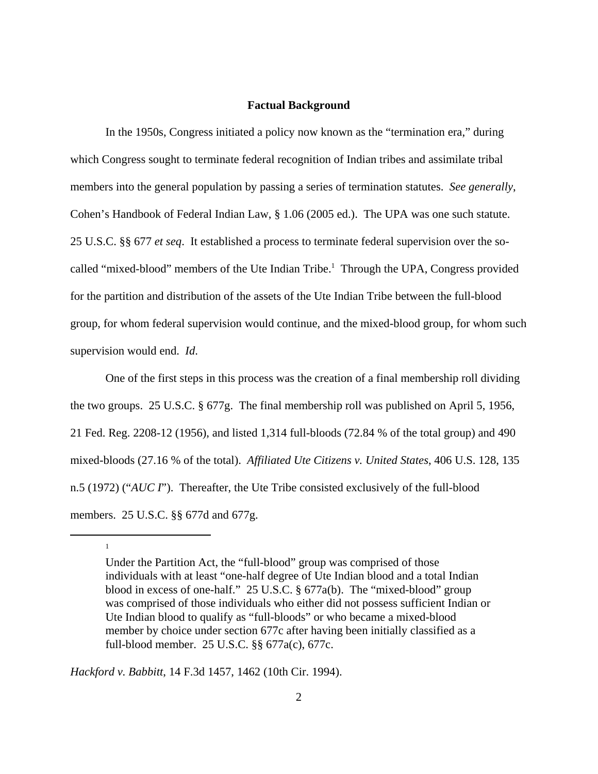#### **Factual Background**

In the 1950s, Congress initiated a policy now known as the "termination era," during which Congress sought to terminate federal recognition of Indian tribes and assimilate tribal members into the general population by passing a series of termination statutes. *See generally*, Cohen's Handbook of Federal Indian Law, § 1.06 (2005 ed.). The UPA was one such statute. 25 U.S.C. §§ 677 *et seq*. It established a process to terminate federal supervision over the socalled "mixed-blood" members of the Ute Indian Tribe.<sup>1</sup> Through the UPA, Congress provided for the partition and distribution of the assets of the Ute Indian Tribe between the full-blood group, for whom federal supervision would continue, and the mixed-blood group, for whom such supervision would end. *Id*.

One of the first steps in this process was the creation of a final membership roll dividing the two groups. 25 U.S.C. § 677g. The final membership roll was published on April 5, 1956, 21 Fed. Reg. 2208-12 (1956), and listed 1,314 full-bloods (72.84 % of the total group) and 490 mixed-bloods (27.16 % of the total). *Affiliated Ute Citizens v. United States*, 406 U.S. 128, 135 n.5 (1972) ("*AUC I*"). Thereafter, the Ute Tribe consisted exclusively of the full-blood members. 25 U.S.C. §§ 677d and 677g.

*Hackford v. Babbitt*, 14 F.3d 1457, 1462 (10th Cir. 1994).

1

Under the Partition Act, the "full-blood" group was comprised of those individuals with at least "one-half degree of Ute Indian blood and a total Indian blood in excess of one-half." 25 U.S.C. § 677a(b). The "mixed-blood" group was comprised of those individuals who either did not possess sufficient Indian or Ute Indian blood to qualify as "full-bloods" or who became a mixed-blood member by choice under section 677c after having been initially classified as a full-blood member. 25 U.S.C. §§ 677a(c), 677c.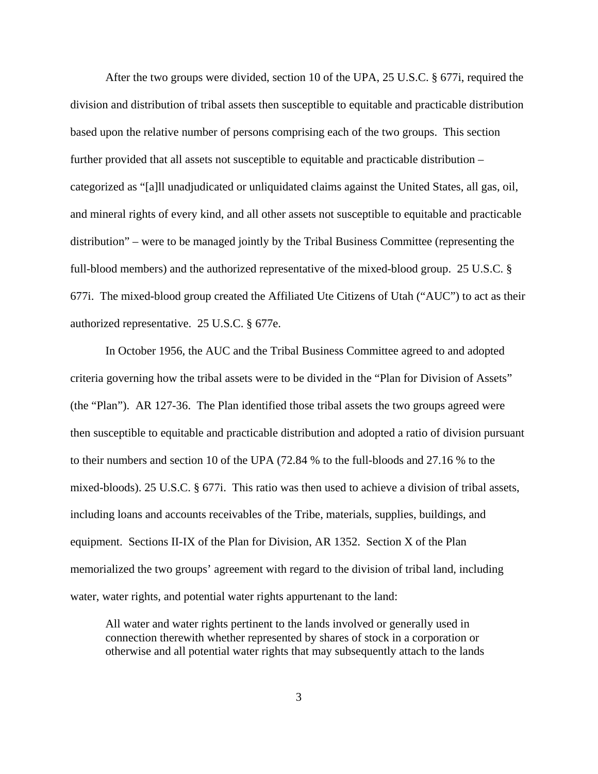After the two groups were divided, section 10 of the UPA, 25 U.S.C. § 677i, required the division and distribution of tribal assets then susceptible to equitable and practicable distribution based upon the relative number of persons comprising each of the two groups. This section further provided that all assets not susceptible to equitable and practicable distribution – categorized as "[a]ll unadjudicated or unliquidated claims against the United States, all gas, oil, and mineral rights of every kind, and all other assets not susceptible to equitable and practicable distribution" – were to be managed jointly by the Tribal Business Committee (representing the full-blood members) and the authorized representative of the mixed-blood group. 25 U.S.C. § 677i. The mixed-blood group created the Affiliated Ute Citizens of Utah ("AUC") to act as their authorized representative. 25 U.S.C. § 677e.

In October 1956, the AUC and the Tribal Business Committee agreed to and adopted criteria governing how the tribal assets were to be divided in the "Plan for Division of Assets" (the "Plan"). AR 127-36. The Plan identified those tribal assets the two groups agreed were then susceptible to equitable and practicable distribution and adopted a ratio of division pursuant to their numbers and section 10 of the UPA (72.84 % to the full-bloods and 27.16 % to the mixed-bloods). 25 U.S.C. § 677i. This ratio was then used to achieve a division of tribal assets, including loans and accounts receivables of the Tribe, materials, supplies, buildings, and equipment. Sections II-IX of the Plan for Division, AR 1352. Section X of the Plan memorialized the two groups' agreement with regard to the division of tribal land, including water, water rights, and potential water rights appurtenant to the land:

All water and water rights pertinent to the lands involved or generally used in connection therewith whether represented by shares of stock in a corporation or otherwise and all potential water rights that may subsequently attach to the lands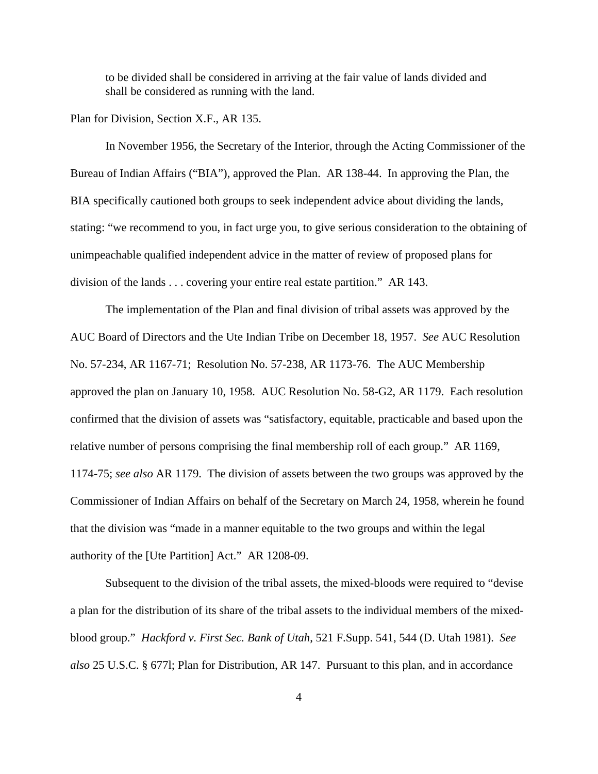to be divided shall be considered in arriving at the fair value of lands divided and shall be considered as running with the land.

### Plan for Division, Section X.F., AR 135.

In November 1956, the Secretary of the Interior, through the Acting Commissioner of the Bureau of Indian Affairs ("BIA"), approved the Plan. AR 138-44. In approving the Plan, the BIA specifically cautioned both groups to seek independent advice about dividing the lands, stating: "we recommend to you, in fact urge you, to give serious consideration to the obtaining of unimpeachable qualified independent advice in the matter of review of proposed plans for division of the lands . . . covering your entire real estate partition." AR 143.

The implementation of the Plan and final division of tribal assets was approved by the AUC Board of Directors and the Ute Indian Tribe on December 18, 1957. *See* AUC Resolution No. 57-234, AR 1167-71; Resolution No. 57-238, AR 1173-76. The AUC Membership approved the plan on January 10, 1958. AUC Resolution No. 58-G2, AR 1179. Each resolution confirmed that the division of assets was "satisfactory, equitable, practicable and based upon the relative number of persons comprising the final membership roll of each group." AR 1169, 1174-75; *see also* AR 1179. The division of assets between the two groups was approved by the Commissioner of Indian Affairs on behalf of the Secretary on March 24, 1958, wherein he found that the division was "made in a manner equitable to the two groups and within the legal authority of the [Ute Partition] Act." AR 1208-09.

Subsequent to the division of the tribal assets, the mixed-bloods were required to "devise a plan for the distribution of its share of the tribal assets to the individual members of the mixedblood group." *Hackford v. First Sec. Bank of Utah*, 521 F.Supp. 541, 544 (D. Utah 1981). *See also* 25 U.S.C. § 677l; Plan for Distribution, AR 147. Pursuant to this plan, and in accordance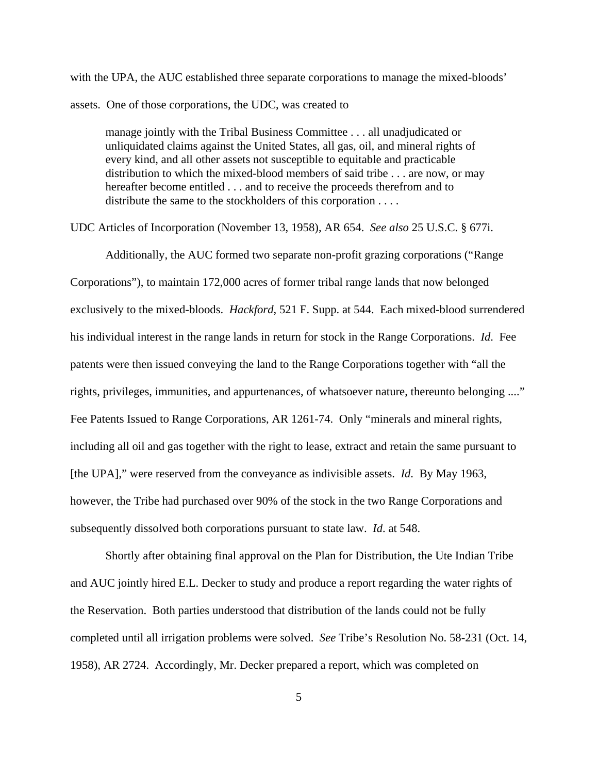with the UPA, the AUC established three separate corporations to manage the mixed-bloods' assets. One of those corporations, the UDC, was created to

manage jointly with the Tribal Business Committee . . . all unadjudicated or unliquidated claims against the United States, all gas, oil, and mineral rights of every kind, and all other assets not susceptible to equitable and practicable distribution to which the mixed-blood members of said tribe . . . are now, or may hereafter become entitled . . . and to receive the proceeds therefrom and to distribute the same to the stockholders of this corporation . . . .

UDC Articles of Incorporation (November 13, 1958), AR 654. *See also* 25 U.S.C. § 677i.

Additionally, the AUC formed two separate non-profit grazing corporations ("Range Corporations"), to maintain 172,000 acres of former tribal range lands that now belonged exclusively to the mixed-bloods. *Hackford*, 521 F. Supp. at 544. Each mixed-blood surrendered his individual interest in the range lands in return for stock in the Range Corporations. *Id*. Fee patents were then issued conveying the land to the Range Corporations together with "all the rights, privileges, immunities, and appurtenances, of whatsoever nature, thereunto belonging ...." Fee Patents Issued to Range Corporations, AR 1261-74. Only "minerals and mineral rights, including all oil and gas together with the right to lease, extract and retain the same pursuant to [the UPA]," were reserved from the conveyance as indivisible assets. *Id*. By May 1963, however, the Tribe had purchased over 90% of the stock in the two Range Corporations and subsequently dissolved both corporations pursuant to state law. *Id*. at 548.

Shortly after obtaining final approval on the Plan for Distribution, the Ute Indian Tribe and AUC jointly hired E.L. Decker to study and produce a report regarding the water rights of the Reservation. Both parties understood that distribution of the lands could not be fully completed until all irrigation problems were solved. *See* Tribe's Resolution No. 58-231 (Oct. 14, 1958), AR 2724. Accordingly, Mr. Decker prepared a report, which was completed on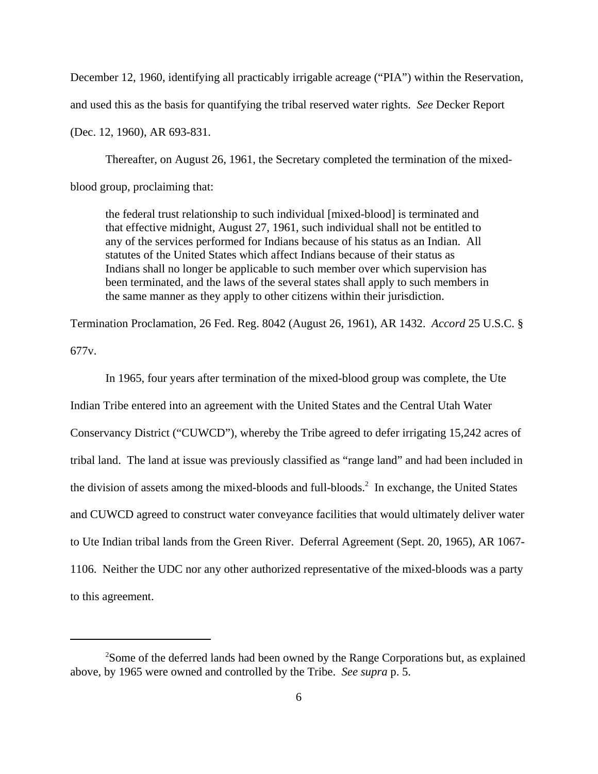December 12, 1960, identifying all practicably irrigable acreage ("PIA") within the Reservation,

and used this as the basis for quantifying the tribal reserved water rights. *See* Decker Report

(Dec. 12, 1960), AR 693-831.

Thereafter, on August 26, 1961, the Secretary completed the termination of the mixedblood group, proclaiming that:

the federal trust relationship to such individual [mixed-blood] is terminated and that effective midnight, August 27, 1961, such individual shall not be entitled to any of the services performed for Indians because of his status as an Indian. All statutes of the United States which affect Indians because of their status as Indians shall no longer be applicable to such member over which supervision has been terminated, and the laws of the several states shall apply to such members in the same manner as they apply to other citizens within their jurisdiction.

Termination Proclamation, 26 Fed. Reg. 8042 (August 26, 1961), AR 1432. *Accord* 25 U.S.C. § 677v.

In 1965, four years after termination of the mixed-blood group was complete, the Ute Indian Tribe entered into an agreement with the United States and the Central Utah Water Conservancy District ("CUWCD"), whereby the Tribe agreed to defer irrigating 15,242 acres of tribal land. The land at issue was previously classified as "range land" and had been included in the division of assets among the mixed-bloods and full-bloods.<sup>2</sup> In exchange, the United States and CUWCD agreed to construct water conveyance facilities that would ultimately deliver water to Ute Indian tribal lands from the Green River. Deferral Agreement (Sept. 20, 1965), AR 1067- 1106. Neither the UDC nor any other authorized representative of the mixed-bloods was a party to this agreement.

<sup>&</sup>lt;sup>2</sup>Some of the deferred lands had been owned by the Range Corporations but, as explained above, by 1965 were owned and controlled by the Tribe. *See supra* p. 5.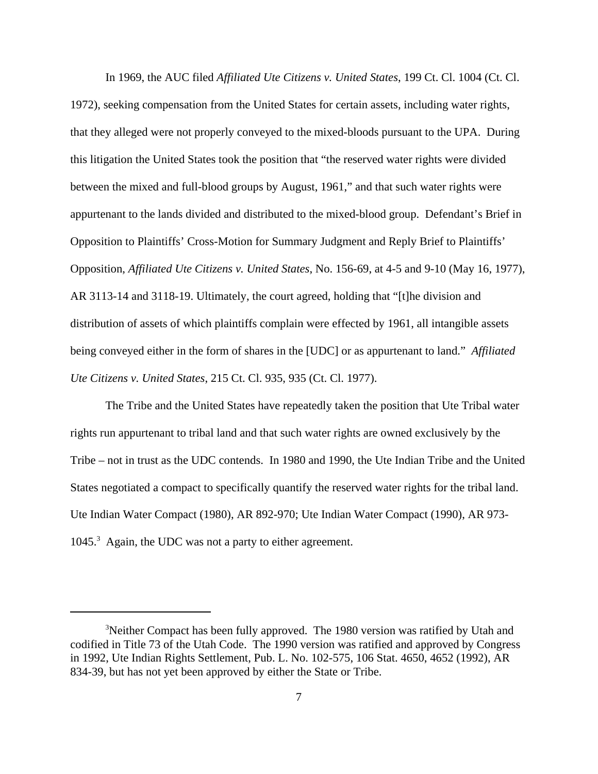In 1969, the AUC filed *Affiliated Ute Citizens v. United States*, 199 Ct. Cl. 1004 (Ct. Cl. 1972), seeking compensation from the United States for certain assets, including water rights, that they alleged were not properly conveyed to the mixed-bloods pursuant to the UPA. During this litigation the United States took the position that "the reserved water rights were divided between the mixed and full-blood groups by August, 1961," and that such water rights were appurtenant to the lands divided and distributed to the mixed-blood group. Defendant's Brief in Opposition to Plaintiffs' Cross-Motion for Summary Judgment and Reply Brief to Plaintiffs' Opposition, *Affiliated Ute Citizens v. United States*, No. 156-69, at 4-5 and 9-10 (May 16, 1977), AR 3113-14 and 3118-19. Ultimately, the court agreed, holding that "[t]he division and distribution of assets of which plaintiffs complain were effected by 1961, all intangible assets being conveyed either in the form of shares in the [UDC] or as appurtenant to land." *Affiliated Ute Citizens v. United States*, 215 Ct. Cl. 935, 935 (Ct. Cl. 1977).

The Tribe and the United States have repeatedly taken the position that Ute Tribal water rights run appurtenant to tribal land and that such water rights are owned exclusively by the Tribe – not in trust as the UDC contends. In 1980 and 1990, the Ute Indian Tribe and the United States negotiated a compact to specifically quantify the reserved water rights for the tribal land. Ute Indian Water Compact (1980), AR 892-970; Ute Indian Water Compact (1990), AR 973- 1045.<sup>3</sup> Again, the UDC was not a party to either agreement.

<sup>&</sup>lt;sup>3</sup>Neither Compact has been fully approved. The 1980 version was ratified by Utah and codified in Title 73 of the Utah Code. The 1990 version was ratified and approved by Congress in 1992, Ute Indian Rights Settlement, Pub. L. No. 102-575, 106 Stat. 4650, 4652 (1992), AR 834-39, but has not yet been approved by either the State or Tribe.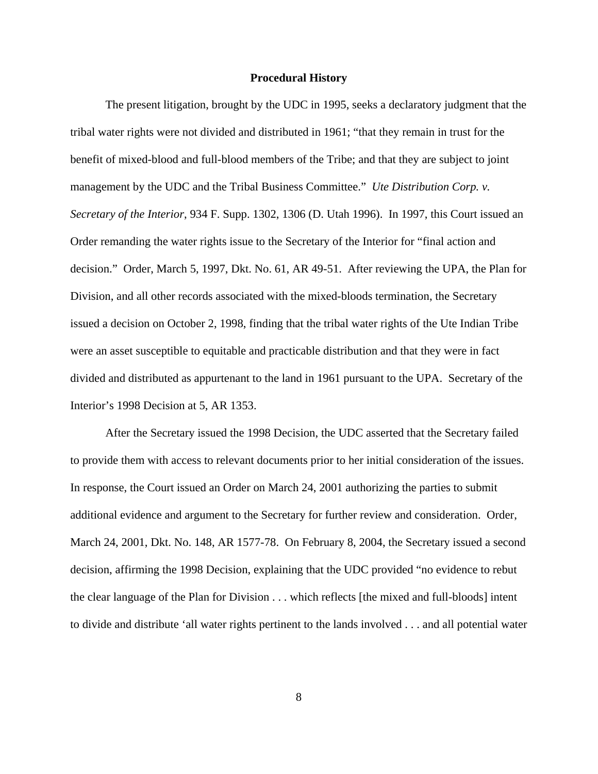#### **Procedural History**

The present litigation, brought by the UDC in 1995, seeks a declaratory judgment that the tribal water rights were not divided and distributed in 1961; "that they remain in trust for the benefit of mixed-blood and full-blood members of the Tribe; and that they are subject to joint management by the UDC and the Tribal Business Committee." *Ute Distribution Corp. v. Secretary of the Interior*, 934 F. Supp. 1302, 1306 (D. Utah 1996). In 1997, this Court issued an Order remanding the water rights issue to the Secretary of the Interior for "final action and decision." Order, March 5, 1997, Dkt. No. 61, AR 49-51. After reviewing the UPA, the Plan for Division, and all other records associated with the mixed-bloods termination, the Secretary issued a decision on October 2, 1998, finding that the tribal water rights of the Ute Indian Tribe were an asset susceptible to equitable and practicable distribution and that they were in fact divided and distributed as appurtenant to the land in 1961 pursuant to the UPA. Secretary of the Interior's 1998 Decision at 5, AR 1353.

After the Secretary issued the 1998 Decision, the UDC asserted that the Secretary failed to provide them with access to relevant documents prior to her initial consideration of the issues. In response, the Court issued an Order on March 24, 2001 authorizing the parties to submit additional evidence and argument to the Secretary for further review and consideration. Order, March 24, 2001, Dkt. No. 148, AR 1577-78. On February 8, 2004, the Secretary issued a second decision, affirming the 1998 Decision, explaining that the UDC provided "no evidence to rebut the clear language of the Plan for Division . . . which reflects [the mixed and full-bloods] intent to divide and distribute 'all water rights pertinent to the lands involved . . . and all potential water

8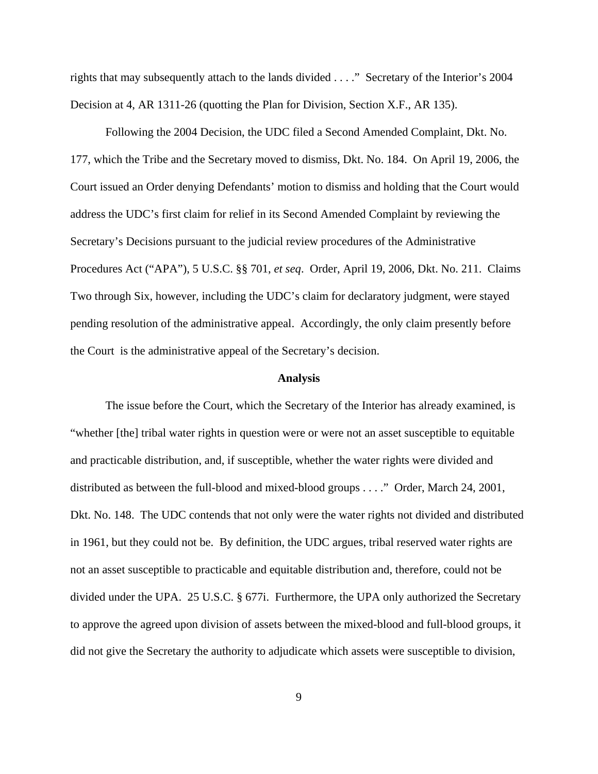rights that may subsequently attach to the lands divided . . . ." Secretary of the Interior's 2004 Decision at 4, AR 1311-26 (quotting the Plan for Division, Section X.F., AR 135).

Following the 2004 Decision, the UDC filed a Second Amended Complaint, Dkt. No. 177, which the Tribe and the Secretary moved to dismiss, Dkt. No. 184. On April 19, 2006, the Court issued an Order denying Defendants' motion to dismiss and holding that the Court would address the UDC's first claim for relief in its Second Amended Complaint by reviewing the Secretary's Decisions pursuant to the judicial review procedures of the Administrative Procedures Act ("APA"), 5 U.S.C. §§ 701, *et seq*. Order, April 19, 2006, Dkt. No. 211. Claims Two through Six, however, including the UDC's claim for declaratory judgment, were stayed pending resolution of the administrative appeal. Accordingly, the only claim presently before the Court is the administrative appeal of the Secretary's decision.

#### **Analysis**

The issue before the Court, which the Secretary of the Interior has already examined, is "whether [the] tribal water rights in question were or were not an asset susceptible to equitable and practicable distribution, and, if susceptible, whether the water rights were divided and distributed as between the full-blood and mixed-blood groups . . . ." Order, March 24, 2001, Dkt. No. 148. The UDC contends that not only were the water rights not divided and distributed in 1961, but they could not be. By definition, the UDC argues, tribal reserved water rights are not an asset susceptible to practicable and equitable distribution and, therefore, could not be divided under the UPA. 25 U.S.C. § 677i. Furthermore, the UPA only authorized the Secretary to approve the agreed upon division of assets between the mixed-blood and full-blood groups, it did not give the Secretary the authority to adjudicate which assets were susceptible to division,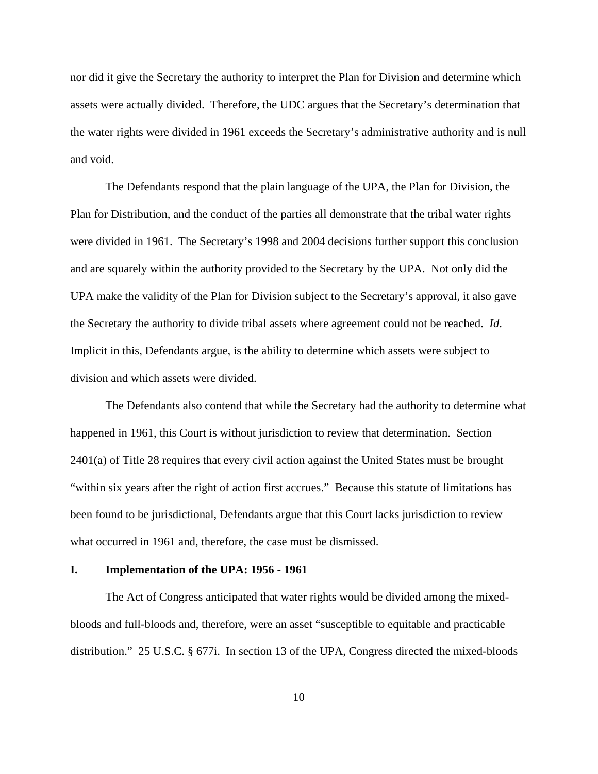nor did it give the Secretary the authority to interpret the Plan for Division and determine which assets were actually divided. Therefore, the UDC argues that the Secretary's determination that the water rights were divided in 1961 exceeds the Secretary's administrative authority and is null and void.

The Defendants respond that the plain language of the UPA, the Plan for Division, the Plan for Distribution, and the conduct of the parties all demonstrate that the tribal water rights were divided in 1961. The Secretary's 1998 and 2004 decisions further support this conclusion and are squarely within the authority provided to the Secretary by the UPA. Not only did the UPA make the validity of the Plan for Division subject to the Secretary's approval, it also gave the Secretary the authority to divide tribal assets where agreement could not be reached. *Id*. Implicit in this, Defendants argue, is the ability to determine which assets were subject to division and which assets were divided.

The Defendants also contend that while the Secretary had the authority to determine what happened in 1961, this Court is without jurisdiction to review that determination. Section 2401(a) of Title 28 requires that every civil action against the United States must be brought "within six years after the right of action first accrues." Because this statute of limitations has been found to be jurisdictional, Defendants argue that this Court lacks jurisdiction to review what occurred in 1961 and, therefore, the case must be dismissed.

#### **I. Implementation of the UPA: 1956 - 1961**

The Act of Congress anticipated that water rights would be divided among the mixedbloods and full-bloods and, therefore, were an asset "susceptible to equitable and practicable distribution." 25 U.S.C. § 677i. In section 13 of the UPA, Congress directed the mixed-bloods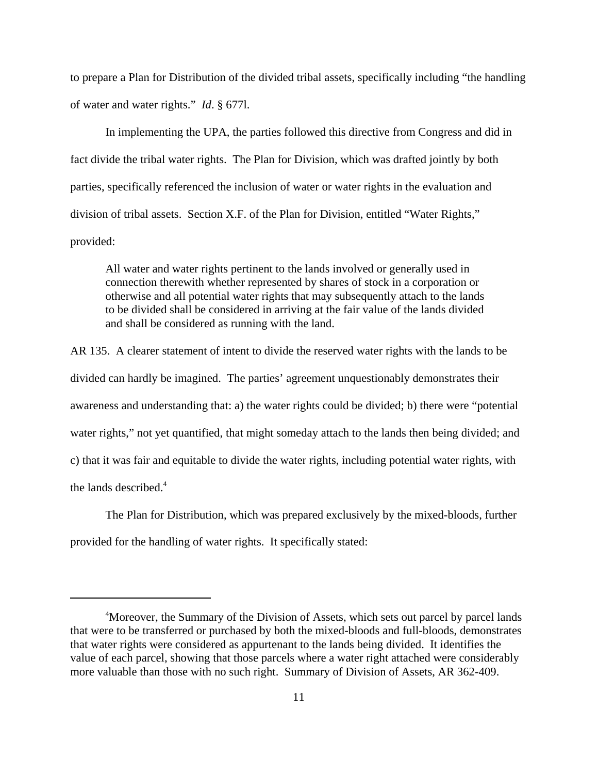to prepare a Plan for Distribution of the divided tribal assets, specifically including "the handling of water and water rights." *Id*. § 677l.

In implementing the UPA, the parties followed this directive from Congress and did in fact divide the tribal water rights. The Plan for Division, which was drafted jointly by both parties, specifically referenced the inclusion of water or water rights in the evaluation and division of tribal assets. Section X.F. of the Plan for Division, entitled "Water Rights," provided:

All water and water rights pertinent to the lands involved or generally used in connection therewith whether represented by shares of stock in a corporation or otherwise and all potential water rights that may subsequently attach to the lands to be divided shall be considered in arriving at the fair value of the lands divided and shall be considered as running with the land.

AR 135. A clearer statement of intent to divide the reserved water rights with the lands to be divided can hardly be imagined. The parties' agreement unquestionably demonstrates their awareness and understanding that: a) the water rights could be divided; b) there were "potential water rights," not yet quantified, that might someday attach to the lands then being divided; and c) that it was fair and equitable to divide the water rights, including potential water rights, with the lands described.<sup>4</sup>

The Plan for Distribution, which was prepared exclusively by the mixed-bloods, further provided for the handling of water rights. It specifically stated:

<sup>&</sup>lt;sup>4</sup>Moreover, the Summary of the Division of Assets, which sets out parcel by parcel lands that were to be transferred or purchased by both the mixed-bloods and full-bloods, demonstrates that water rights were considered as appurtenant to the lands being divided. It identifies the value of each parcel, showing that those parcels where a water right attached were considerably more valuable than those with no such right. Summary of Division of Assets, AR 362-409.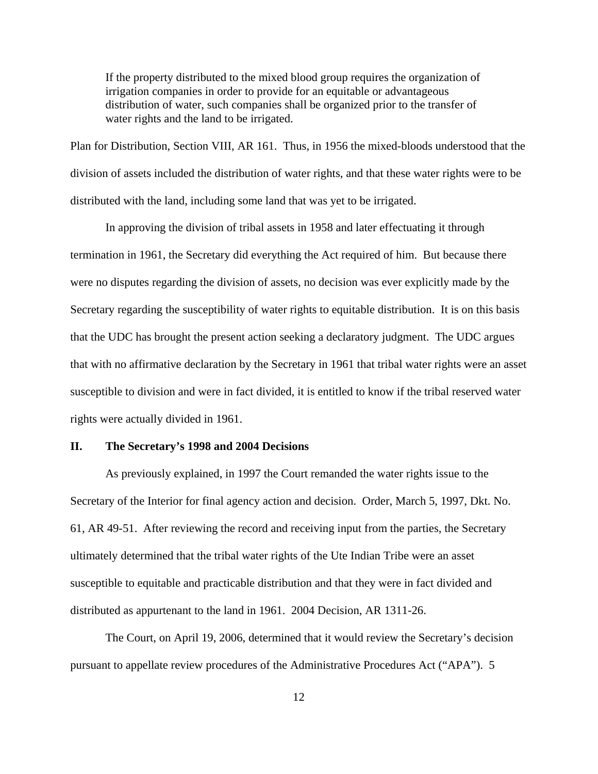If the property distributed to the mixed blood group requires the organization of irrigation companies in order to provide for an equitable or advantageous distribution of water, such companies shall be organized prior to the transfer of water rights and the land to be irrigated.

Plan for Distribution, Section VIII, AR 161. Thus, in 1956 the mixed-bloods understood that the division of assets included the distribution of water rights, and that these water rights were to be distributed with the land, including some land that was yet to be irrigated.

In approving the division of tribal assets in 1958 and later effectuating it through termination in 1961, the Secretary did everything the Act required of him. But because there were no disputes regarding the division of assets, no decision was ever explicitly made by the Secretary regarding the susceptibility of water rights to equitable distribution. It is on this basis that the UDC has brought the present action seeking a declaratory judgment. The UDC argues that with no affirmative declaration by the Secretary in 1961 that tribal water rights were an asset susceptible to division and were in fact divided, it is entitled to know if the tribal reserved water rights were actually divided in 1961.

#### **II. The Secretary's 1998 and 2004 Decisions**

As previously explained, in 1997 the Court remanded the water rights issue to the Secretary of the Interior for final agency action and decision. Order, March 5, 1997, Dkt. No. 61, AR 49-51. After reviewing the record and receiving input from the parties, the Secretary ultimately determined that the tribal water rights of the Ute Indian Tribe were an asset susceptible to equitable and practicable distribution and that they were in fact divided and distributed as appurtenant to the land in 1961. 2004 Decision, AR 1311-26.

The Court, on April 19, 2006, determined that it would review the Secretary's decision pursuant to appellate review procedures of the Administrative Procedures Act ("APA"). 5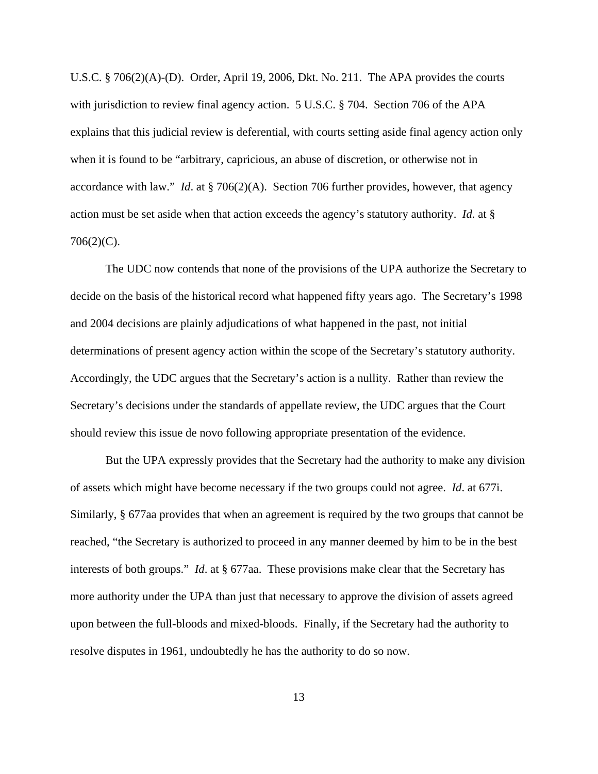U.S.C. § 706(2)(A)-(D). Order, April 19, 2006, Dkt. No. 211. The APA provides the courts with jurisdiction to review final agency action. 5 U.S.C. § 704. Section 706 of the APA explains that this judicial review is deferential, with courts setting aside final agency action only when it is found to be "arbitrary, capricious, an abuse of discretion, or otherwise not in accordance with law." *Id*. at § 706(2)(A). Section 706 further provides, however, that agency action must be set aside when that action exceeds the agency's statutory authority. *Id*. at §  $706(2)(C)$ .

The UDC now contends that none of the provisions of the UPA authorize the Secretary to decide on the basis of the historical record what happened fifty years ago. The Secretary's 1998 and 2004 decisions are plainly adjudications of what happened in the past, not initial determinations of present agency action within the scope of the Secretary's statutory authority. Accordingly, the UDC argues that the Secretary's action is a nullity. Rather than review the Secretary's decisions under the standards of appellate review, the UDC argues that the Court should review this issue de novo following appropriate presentation of the evidence.

But the UPA expressly provides that the Secretary had the authority to make any division of assets which might have become necessary if the two groups could not agree. *Id*. at 677i. Similarly, § 677aa provides that when an agreement is required by the two groups that cannot be reached, "the Secretary is authorized to proceed in any manner deemed by him to be in the best interests of both groups." *Id*. at § 677aa. These provisions make clear that the Secretary has more authority under the UPA than just that necessary to approve the division of assets agreed upon between the full-bloods and mixed-bloods. Finally, if the Secretary had the authority to resolve disputes in 1961, undoubtedly he has the authority to do so now.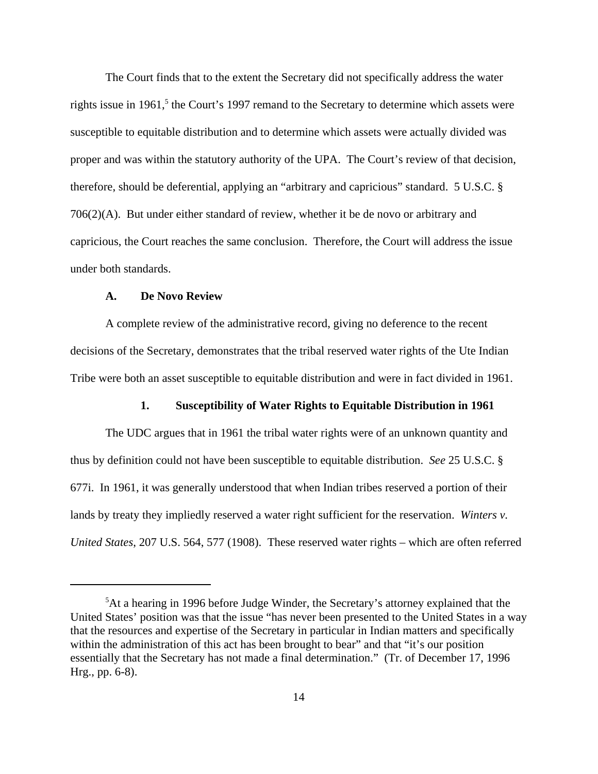The Court finds that to the extent the Secretary did not specifically address the water rights issue in 1961,<sup>5</sup> the Court's 1997 remand to the Secretary to determine which assets were susceptible to equitable distribution and to determine which assets were actually divided was proper and was within the statutory authority of the UPA. The Court's review of that decision, therefore, should be deferential, applying an "arbitrary and capricious" standard. 5 U.S.C. § 706(2)(A). But under either standard of review, whether it be de novo or arbitrary and capricious, the Court reaches the same conclusion. Therefore, the Court will address the issue under both standards.

### **A. De Novo Review**

A complete review of the administrative record, giving no deference to the recent decisions of the Secretary, demonstrates that the tribal reserved water rights of the Ute Indian Tribe were both an asset susceptible to equitable distribution and were in fact divided in 1961.

#### **1. Susceptibility of Water Rights to Equitable Distribution in 1961**

The UDC argues that in 1961 the tribal water rights were of an unknown quantity and thus by definition could not have been susceptible to equitable distribution. *See* 25 U.S.C. § 677i. In 1961, it was generally understood that when Indian tribes reserved a portion of their lands by treaty they impliedly reserved a water right sufficient for the reservation. *Winters v. United States*, 207 U.S. 564, 577 (1908). These reserved water rights – which are often referred

<sup>&</sup>lt;sup>5</sup>At a hearing in 1996 before Judge Winder, the Secretary's attorney explained that the United States' position was that the issue "has never been presented to the United States in a way that the resources and expertise of the Secretary in particular in Indian matters and specifically within the administration of this act has been brought to bear" and that "it's our position essentially that the Secretary has not made a final determination." (Tr. of December 17, 1996 Hrg., pp. 6-8).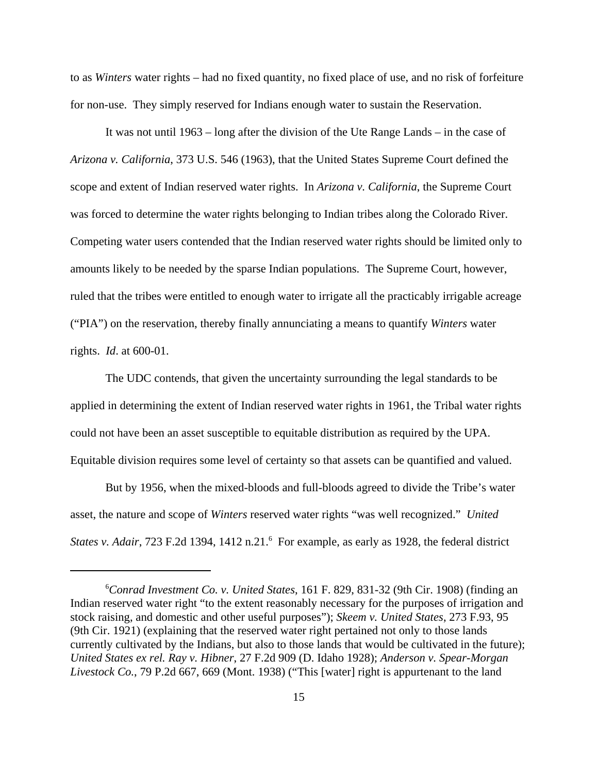to as *Winters* water rights – had no fixed quantity, no fixed place of use, and no risk of forfeiture for non-use. They simply reserved for Indians enough water to sustain the Reservation.

It was not until 1963 – long after the division of the Ute Range Lands – in the case of *Arizona v. California*, 373 U.S. 546 (1963), that the United States Supreme Court defined the scope and extent of Indian reserved water rights. In *Arizona v. California*, the Supreme Court was forced to determine the water rights belonging to Indian tribes along the Colorado River. Competing water users contended that the Indian reserved water rights should be limited only to amounts likely to be needed by the sparse Indian populations. The Supreme Court, however, ruled that the tribes were entitled to enough water to irrigate all the practicably irrigable acreage ("PIA") on the reservation, thereby finally annunciating a means to quantify *Winters* water rights. *Id*. at 600-01.

The UDC contends, that given the uncertainty surrounding the legal standards to be applied in determining the extent of Indian reserved water rights in 1961, the Tribal water rights could not have been an asset susceptible to equitable distribution as required by the UPA. Equitable division requires some level of certainty so that assets can be quantified and valued.

But by 1956, when the mixed-bloods and full-bloods agreed to divide the Tribe's water asset, the nature and scope of *Winters* reserved water rights "was well recognized." *United* States v. Adair, 723 F.2d 1394, 1412 n.21.<sup>6</sup> For example, as early as 1928, the federal district

<sup>6</sup> *Conrad Investment Co. v. United States*, 161 F. 829, 831-32 (9th Cir. 1908) (finding an Indian reserved water right "to the extent reasonably necessary for the purposes of irrigation and stock raising, and domestic and other useful purposes"); *Skeem v. United States*, 273 F.93, 95 (9th Cir. 1921) (explaining that the reserved water right pertained not only to those lands currently cultivated by the Indians, but also to those lands that would be cultivated in the future); *United States ex rel. Ray v. Hibner*, 27 F.2d 909 (D. Idaho 1928); *Anderson v. Spear-Morgan Livestock Co.*, 79 P.2d 667, 669 (Mont. 1938) ("This [water] right is appurtenant to the land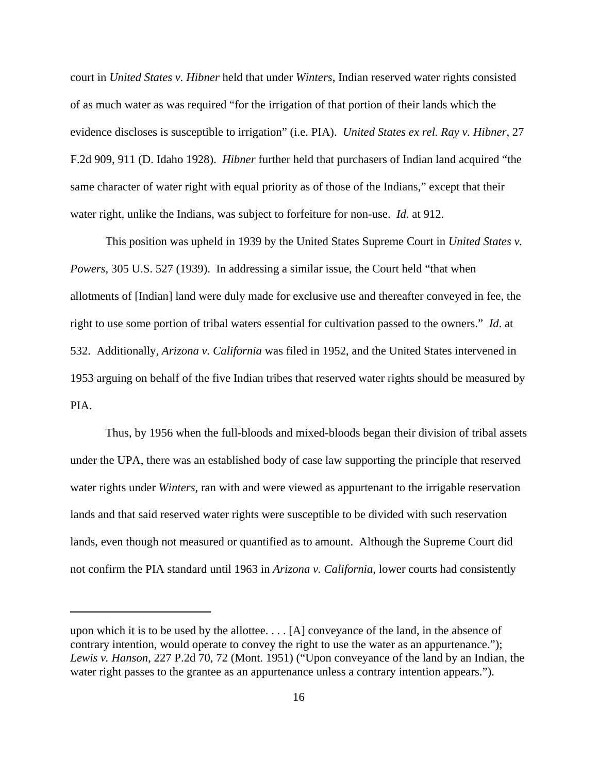court in *United States v. Hibner* held that under *Winters*, Indian reserved water rights consisted of as much water as was required "for the irrigation of that portion of their lands which the evidence discloses is susceptible to irrigation" (i.e. PIA). *United States ex rel. Ray v. Hibner*, 27 F.2d 909, 911 (D. Idaho 1928). *Hibner* further held that purchasers of Indian land acquired "the same character of water right with equal priority as of those of the Indians," except that their water right, unlike the Indians, was subject to forfeiture for non-use. *Id*. at 912.

This position was upheld in 1939 by the United States Supreme Court in *United States v. Powers*, 305 U.S. 527 (1939). In addressing a similar issue, the Court held "that when allotments of [Indian] land were duly made for exclusive use and thereafter conveyed in fee, the right to use some portion of tribal waters essential for cultivation passed to the owners." *Id*. at 532.Additionally, *Arizona v. California* was filed in 1952, and the United States intervened in 1953 arguing on behalf of the five Indian tribes that reserved water rights should be measured by PIA.

Thus, by 1956 when the full-bloods and mixed-bloods began their division of tribal assets under the UPA, there was an established body of case law supporting the principle that reserved water rights under *Winters*, ran with and were viewed as appurtenant to the irrigable reservation lands and that said reserved water rights were susceptible to be divided with such reservation lands, even though not measured or quantified as to amount. Although the Supreme Court did not confirm the PIA standard until 1963 in *Arizona v. California*, lower courts had consistently

upon which it is to be used by the allottee. . . . [A] conveyance of the land, in the absence of contrary intention, would operate to convey the right to use the water as an appurtenance."); *Lewis v. Hanson*, 227 P.2d 70, 72 (Mont. 1951) ("Upon conveyance of the land by an Indian, the water right passes to the grantee as an appurtenance unless a contrary intention appears.").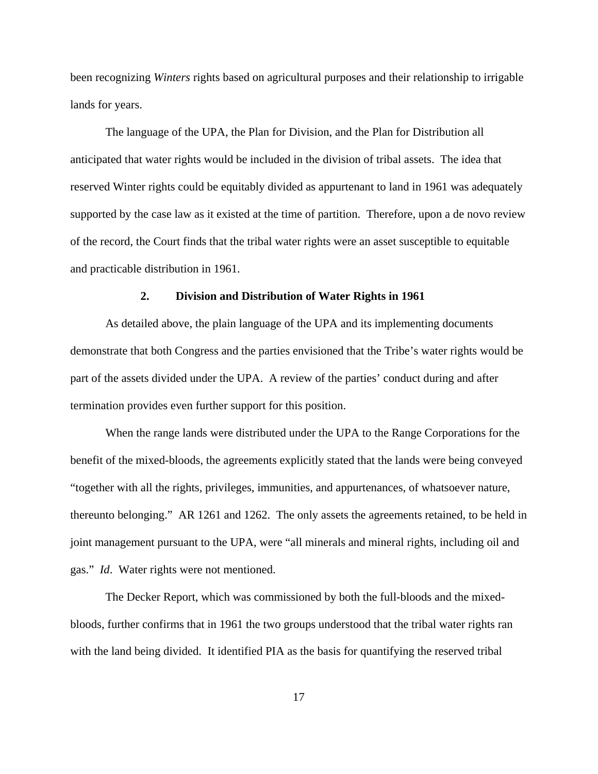been recognizing *Winters* rights based on agricultural purposes and their relationship to irrigable lands for years.

The language of the UPA, the Plan for Division, and the Plan for Distribution all anticipated that water rights would be included in the division of tribal assets. The idea that reserved Winter rights could be equitably divided as appurtenant to land in 1961 was adequately supported by the case law as it existed at the time of partition. Therefore, upon a de novo review of the record, the Court finds that the tribal water rights were an asset susceptible to equitable and practicable distribution in 1961.

### **2. Division and Distribution of Water Rights in 1961**

As detailed above, the plain language of the UPA and its implementing documents demonstrate that both Congress and the parties envisioned that the Tribe's water rights would be part of the assets divided under the UPA. A review of the parties' conduct during and after termination provides even further support for this position.

When the range lands were distributed under the UPA to the Range Corporations for the benefit of the mixed-bloods, the agreements explicitly stated that the lands were being conveyed "together with all the rights, privileges, immunities, and appurtenances, of whatsoever nature, thereunto belonging." AR 1261 and 1262. The only assets the agreements retained, to be held in joint management pursuant to the UPA, were "all minerals and mineral rights, including oil and gas." *Id*. Water rights were not mentioned.

The Decker Report, which was commissioned by both the full-bloods and the mixedbloods, further confirms that in 1961 the two groups understood that the tribal water rights ran with the land being divided. It identified PIA as the basis for quantifying the reserved tribal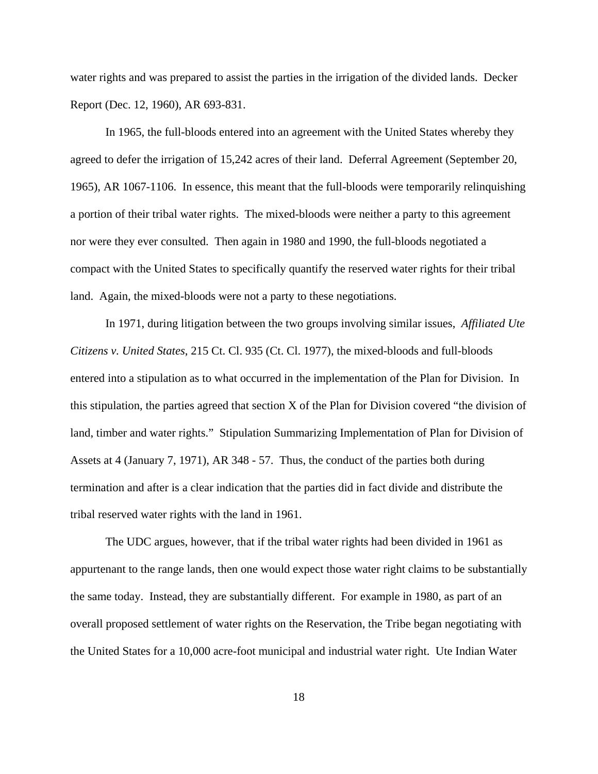water rights and was prepared to assist the parties in the irrigation of the divided lands. Decker Report (Dec. 12, 1960), AR 693-831.

In 1965, the full-bloods entered into an agreement with the United States whereby they agreed to defer the irrigation of 15,242 acres of their land. Deferral Agreement (September 20, 1965), AR 1067-1106. In essence, this meant that the full-bloods were temporarily relinquishing a portion of their tribal water rights. The mixed-bloods were neither a party to this agreement nor were they ever consulted. Then again in 1980 and 1990, the full-bloods negotiated a compact with the United States to specifically quantify the reserved water rights for their tribal land. Again, the mixed-bloods were not a party to these negotiations.

In 1971, during litigation between the two groups involving similar issues, *Affiliated Ute Citizens v. United States*, 215 Ct. Cl. 935 (Ct. Cl. 1977), the mixed-bloods and full-bloods entered into a stipulation as to what occurred in the implementation of the Plan for Division. In this stipulation, the parties agreed that section X of the Plan for Division covered "the division of land, timber and water rights." Stipulation Summarizing Implementation of Plan for Division of Assets at 4 (January 7, 1971), AR 348 - 57. Thus, the conduct of the parties both during termination and after is a clear indication that the parties did in fact divide and distribute the tribal reserved water rights with the land in 1961.

The UDC argues, however, that if the tribal water rights had been divided in 1961 as appurtenant to the range lands, then one would expect those water right claims to be substantially the same today. Instead, they are substantially different. For example in 1980, as part of an overall proposed settlement of water rights on the Reservation, the Tribe began negotiating with the United States for a 10,000 acre-foot municipal and industrial water right. Ute Indian Water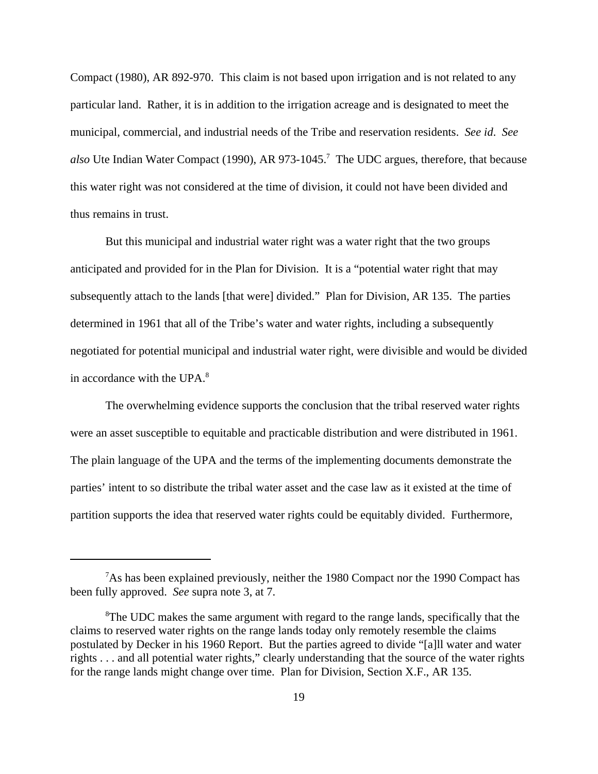Compact (1980), AR 892-970. This claim is not based upon irrigation and is not related to any particular land. Rather, it is in addition to the irrigation acreage and is designated to meet the municipal, commercial, and industrial needs of the Tribe and reservation residents. *See id*. *See* also Ute Indian Water Compact (1990), AR 973-1045.<sup>7</sup> The UDC argues, therefore, that because this water right was not considered at the time of division, it could not have been divided and thus remains in trust.

But this municipal and industrial water right was a water right that the two groups anticipated and provided for in the Plan for Division. It is a "potential water right that may subsequently attach to the lands [that were] divided." Plan for Division, AR 135. The parties determined in 1961 that all of the Tribe's water and water rights, including a subsequently negotiated for potential municipal and industrial water right, were divisible and would be divided in accordance with the  $UPA<sup>8</sup>$ .

The overwhelming evidence supports the conclusion that the tribal reserved water rights were an asset susceptible to equitable and practicable distribution and were distributed in 1961. The plain language of the UPA and the terms of the implementing documents demonstrate the parties' intent to so distribute the tribal water asset and the case law as it existed at the time of partition supports the idea that reserved water rights could be equitably divided. Furthermore,

<sup>&</sup>lt;sup>7</sup>As has been explained previously, neither the 1980 Compact nor the 1990 Compact has been fully approved. *See* supra note 3, at 7.

<sup>&</sup>lt;sup>8</sup>The UDC makes the same argument with regard to the range lands, specifically that the claims to reserved water rights on the range lands today only remotely resemble the claims postulated by Decker in his 1960 Report. But the parties agreed to divide "[a]ll water and water rights . . . and all potential water rights," clearly understanding that the source of the water rights for the range lands might change over time. Plan for Division, Section X.F., AR 135.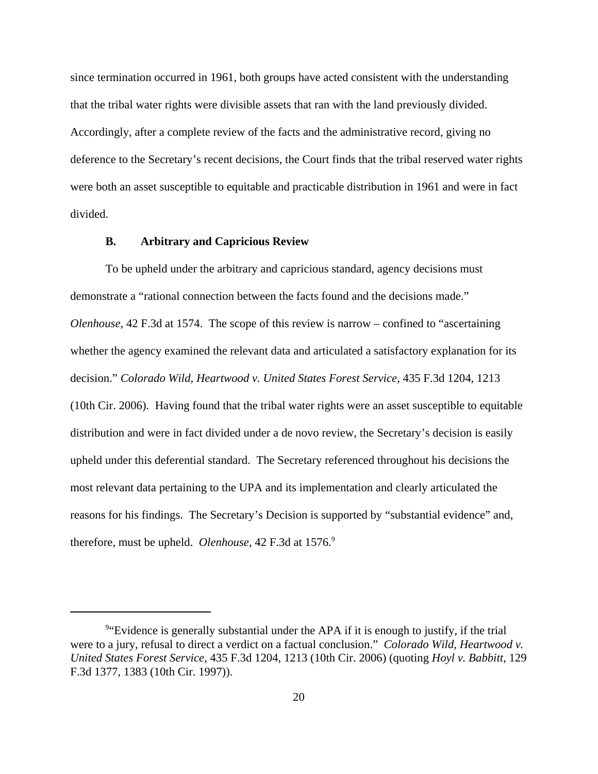since termination occurred in 1961, both groups have acted consistent with the understanding that the tribal water rights were divisible assets that ran with the land previously divided. Accordingly, after a complete review of the facts and the administrative record, giving no deference to the Secretary's recent decisions, the Court finds that the tribal reserved water rights were both an asset susceptible to equitable and practicable distribution in 1961 and were in fact divided.

### **B. Arbitrary and Capricious Review**

To be upheld under the arbitrary and capricious standard, agency decisions must demonstrate a "rational connection between the facts found and the decisions made." *Olenhouse*, 42 F.3d at 1574. The scope of this review is narrow – confined to "ascertaining whether the agency examined the relevant data and articulated a satisfactory explanation for its decision." *Colorado Wild, Heartwood v. United States Forest Service*, 435 F.3d 1204, 1213 (10th Cir. 2006). Having found that the tribal water rights were an asset susceptible to equitable distribution and were in fact divided under a de novo review, the Secretary's decision is easily upheld under this deferential standard. The Secretary referenced throughout his decisions the most relevant data pertaining to the UPA and its implementation and clearly articulated the reasons for his findings. The Secretary's Decision is supported by "substantial evidence" and, therefore, must be upheld. *Olenhouse*, 42 F.3d at 1576.<sup>9</sup>

<sup>&</sup>lt;sup>9</sup> Evidence is generally substantial under the APA if it is enough to justify, if the trial were to a jury, refusal to direct a verdict on a factual conclusion." *Colorado Wild, Heartwood v. United States Forest Service*, 435 F.3d 1204, 1213 (10th Cir. 2006) (quoting *Hoyl v. Babbitt*, 129 F.3d 1377, 1383 (10th Cir. 1997)).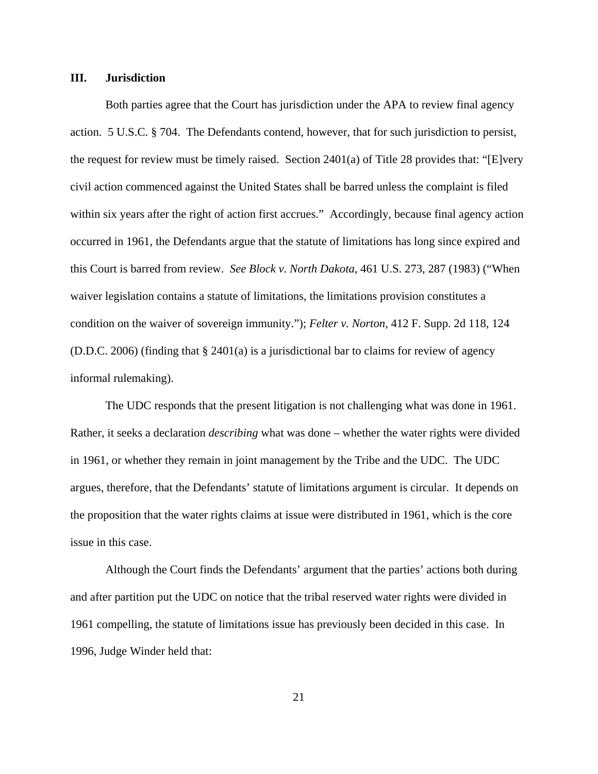#### **III. Jurisdiction**

Both parties agree that the Court has jurisdiction under the APA to review final agency action. 5 U.S.C. § 704. The Defendants contend, however, that for such jurisdiction to persist, the request for review must be timely raised. Section  $2401(a)$  of Title 28 provides that: "[E]very civil action commenced against the United States shall be barred unless the complaint is filed within six years after the right of action first accrues." Accordingly, because final agency action occurred in 1961, the Defendants argue that the statute of limitations has long since expired and this Court is barred from review. *See Block v. North Dakota*, 461 U.S. 273, 287 (1983) ("When waiver legislation contains a statute of limitations, the limitations provision constitutes a condition on the waiver of sovereign immunity."); *Felter v. Norton*, 412 F. Supp. 2d 118, 124 (D.D.C. 2006) (finding that § 2401(a) is a jurisdictional bar to claims for review of agency informal rulemaking).

The UDC responds that the present litigation is not challenging what was done in 1961. Rather, it seeks a declaration *describing* what was done – whether the water rights were divided in 1961, or whether they remain in joint management by the Tribe and the UDC. The UDC argues, therefore, that the Defendants' statute of limitations argument is circular. It depends on the proposition that the water rights claims at issue were distributed in 1961, which is the core issue in this case.

Although the Court finds the Defendants' argument that the parties' actions both during and after partition put the UDC on notice that the tribal reserved water rights were divided in 1961 compelling, the statute of limitations issue has previously been decided in this case. In 1996, Judge Winder held that: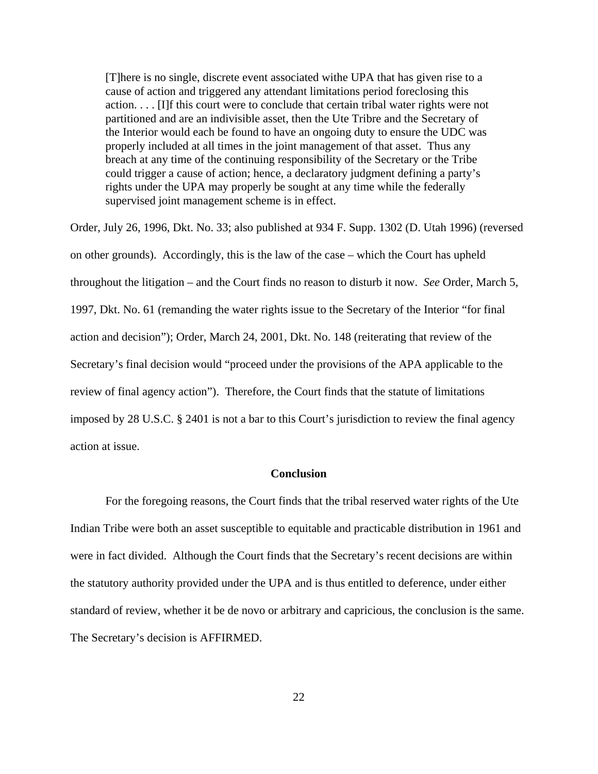[T]here is no single, discrete event associated withe UPA that has given rise to a cause of action and triggered any attendant limitations period foreclosing this action. . . . [I]f this court were to conclude that certain tribal water rights were not partitioned and are an indivisible asset, then the Ute Tribre and the Secretary of the Interior would each be found to have an ongoing duty to ensure the UDC was properly included at all times in the joint management of that asset. Thus any breach at any time of the continuing responsibility of the Secretary or the Tribe could trigger a cause of action; hence, a declaratory judgment defining a party's rights under the UPA may properly be sought at any time while the federally supervised joint management scheme is in effect.

Order, July 26, 1996, Dkt. No. 33; also published at 934 F. Supp. 1302 (D. Utah 1996) (reversed on other grounds). Accordingly, this is the law of the case – which the Court has upheld throughout the litigation – and the Court finds no reason to disturb it now. *See* Order, March 5, 1997, Dkt. No. 61 (remanding the water rights issue to the Secretary of the Interior "for final action and decision"); Order, March 24, 2001, Dkt. No. 148 (reiterating that review of the Secretary's final decision would "proceed under the provisions of the APA applicable to the review of final agency action"). Therefore, the Court finds that the statute of limitations imposed by 28 U.S.C. § 2401 is not a bar to this Court's jurisdiction to review the final agency action at issue.

### **Conclusion**

For the foregoing reasons, the Court finds that the tribal reserved water rights of the Ute Indian Tribe were both an asset susceptible to equitable and practicable distribution in 1961 and were in fact divided. Although the Court finds that the Secretary's recent decisions are within the statutory authority provided under the UPA and is thus entitled to deference, under either standard of review, whether it be de novo or arbitrary and capricious, the conclusion is the same. The Secretary's decision is AFFIRMED.